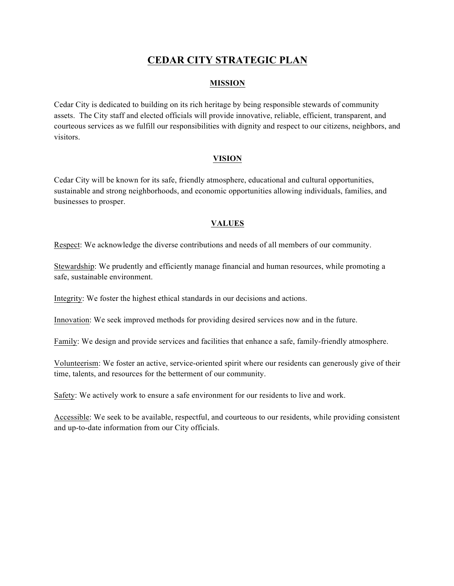# **CEDAR CITY STRATEGIC PLAN**

## **MISSION**

Cedar City is dedicated to building on its rich heritage by being responsible stewards of community assets. The City staff and elected officials will provide innovative, reliable, efficient, transparent, and courteous services as we fulfill our responsibilities with dignity and respect to our citizens, neighbors, and visitors.

## **VISION**

Cedar City will be known for its safe, friendly atmosphere, educational and cultural opportunities, sustainable and strong neighborhoods, and economic opportunities allowing individuals, families, and businesses to prosper.

## **VALUES**

Respect: We acknowledge the diverse contributions and needs of all members of our community.

Stewardship: We prudently and efficiently manage financial and human resources, while promoting a safe, sustainable environment.

Integrity: We foster the highest ethical standards in our decisions and actions.

Innovation: We seek improved methods for providing desired services now and in the future.

Family: We design and provide services and facilities that enhance a safe, family-friendly atmosphere.

Volunteerism: We foster an active, service-oriented spirit where our residents can generously give of their time, talents, and resources for the betterment of our community.

Safety: We actively work to ensure a safe environment for our residents to live and work.

Accessible: We seek to be available, respectful, and courteous to our residents, while providing consistent and up-to-date information from our City officials.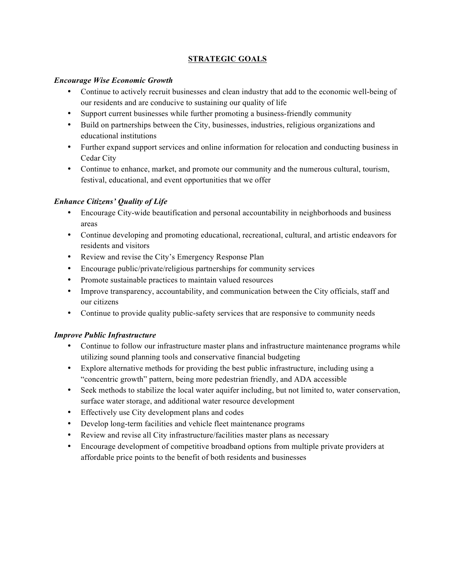## **STRATEGIC GOALS**

## *Encourage Wise Economic Growth*

- Continue to actively recruit businesses and clean industry that add to the economic well-being of our residents and are conducive to sustaining our quality of life
- Support current businesses while further promoting a business-friendly community
- Build on partnerships between the City, businesses, industries, religious organizations and educational institutions
- Further expand support services and online information for relocation and conducting business in Cedar City
- Continue to enhance, market, and promote our community and the numerous cultural, tourism, festival, educational, and event opportunities that we offer

## *Enhance Citizens' Quality of Life*

- Encourage City-wide beautification and personal accountability in neighborhoods and business areas
- Continue developing and promoting educational, recreational, cultural, and artistic endeavors for residents and visitors
- Review and revise the City's Emergency Response Plan
- Encourage public/private/religious partnerships for community services
- Promote sustainable practices to maintain valued resources
- Improve transparency, accountability, and communication between the City officials, staff and our citizens
- Continue to provide quality public-safety services that are responsive to community needs

## *Improve Public Infrastructure*

- Continue to follow our infrastructure master plans and infrastructure maintenance programs while utilizing sound planning tools and conservative financial budgeting
- Explore alternative methods for providing the best public infrastructure, including using a "concentric growth" pattern, being more pedestrian friendly, and ADA accessible
- Seek methods to stabilize the local water aquifer including, but not limited to, water conservation, surface water storage, and additional water resource development
- Effectively use City development plans and codes
- Develop long-term facilities and vehicle fleet maintenance programs
- Review and revise all City infrastructure/facilities master plans as necessary
- Encourage development of competitive broadband options from multiple private providers at affordable price points to the benefit of both residents and businesses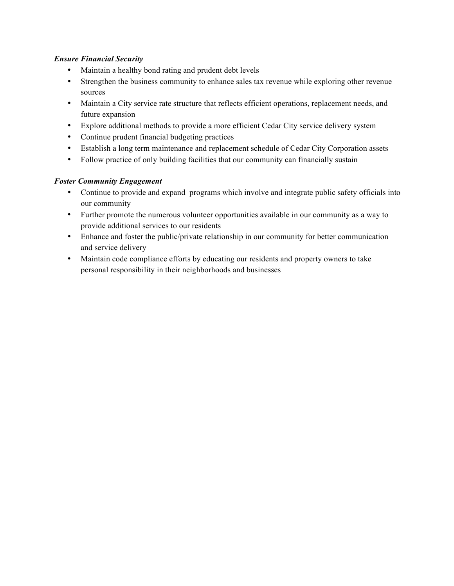## *Ensure Financial Security*

- Maintain a healthy bond rating and prudent debt levels
- Strengthen the business community to enhance sales tax revenue while exploring other revenue sources
- Maintain a City service rate structure that reflects efficient operations, replacement needs, and future expansion
- Explore additional methods to provide a more efficient Cedar City service delivery system
- Continue prudent financial budgeting practices
- Establish a long term maintenance and replacement schedule of Cedar City Corporation assets
- Follow practice of only building facilities that our community can financially sustain

## *Foster Community Engagement*

- Continue to provide and expand programs which involve and integrate public safety officials into our community
- Further promote the numerous volunteer opportunities available in our community as a way to provide additional services to our residents
- Enhance and foster the public/private relationship in our community for better communication and service delivery
- Maintain code compliance efforts by educating our residents and property owners to take personal responsibility in their neighborhoods and businesses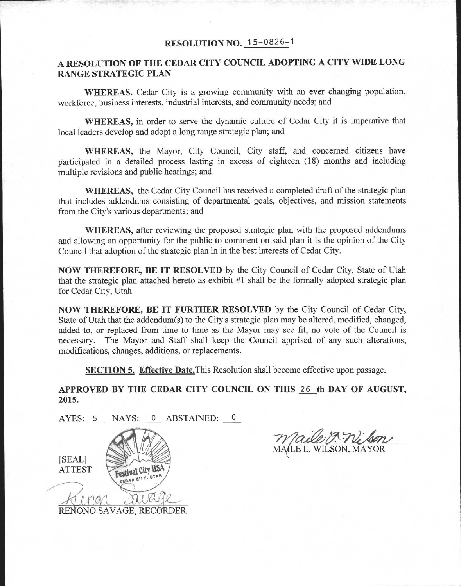## **RESOLUTION NO. 15-0826-1**

## **A RESOLUTION OF THE CEDAR CITY COUNCIL ADOPTING A CITY WIDE LONG RANGE STRATEGIC PLAN**

**WHEREAS,** Cedar City is a growing community with an ever changing population, workforce, business interests, industrial interests, and community needs; and

**WHEREAS,** in order to serve the dynamic culture of Cedar City it is imperative that local leaders develop and adopt a long range strategic plan; and

**WHEREAS,** the Mayor, City Council, City staff, and concerned citizens have participated in a detailed process lasting in excess of eighteen (18) months and including multiple revisions and public hearings; and

**WHEREAS,** the Cedar City Council has received a completed draft of the strategic plan that includes addendums consisting of departmental goals, objectives, and mission statements from the City's various departments; and

**WHEREAS,** after reviewing the proposed strategic plan with the proposed addendums and allowing an opportunity for the public to comment on said plan it is the opinion of the City Council that adoption of the strategic plan in in the best interests of Cedar City.

**NOW THEREFORE, BE IT RESOLVED** by the City Council of Cedar City, State of Utah that the strategic plan attached hereto as exhibit #1 shall be the formally adopted strategic plan for Cedar City, Utah.

**NOW THEREFORE, BE IT FURTHER RESOLVED** by the City Council of Cedar City, State of Utah that the addendum(s) to the City's strategic plan may be altered, modified, changed, added to, or replaced from time to time as the Mayor may see fit, no vote of the Council is necessary. The Mayor and Staff shall keep the Council apprised of any such alterations, modifications, changes, additions, or replacements.

**SECTION 5. Effective Date.**This Resolution shall become effective upon passage.

**APPROVED BY THE CEDAR CITY COUNCIL ON THIS 26 th DAY OF AUGUST, 2015.** 

AYES: 5 NAYS: 0 ABSTAINED: <sup>0</sup> [SEAL] **Festival City US** ATTEST CEDAR CITY <u>ligic</u>

MAALE L. WILSON, MAYOR

RENONO SAVAGE, RECORDER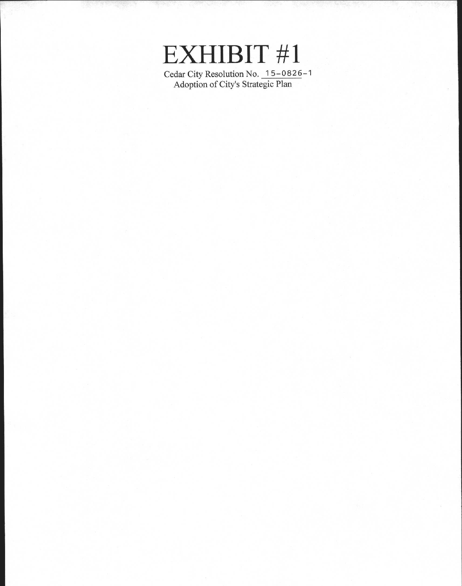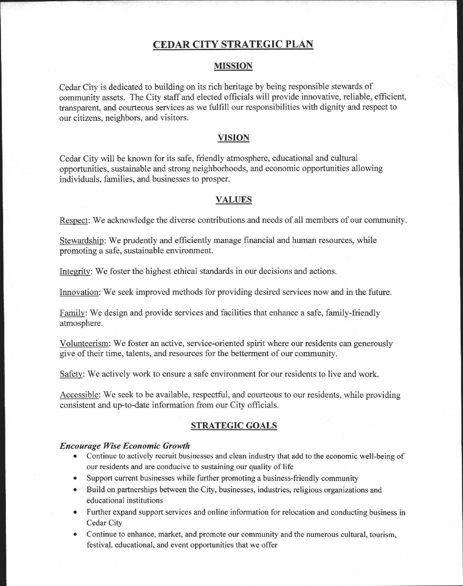## **CEDAR CITY STRATEGIC PLAN**

### **MISSION**

Cedar City is dedicated to building on its rich heritage by being responsible stewards of community assets. The City staff and elected officials will provide innovative, reliable, efficient, transparent, and courteous services as we fulfill our responsibilities with dignity and respect to our citizens, neighbors, and visitors.

### **VISION**

Cedar City will be known for its safe, friendly atmosphere, educational and cultural opportunities, sustainable and strong neighborhoods, and economic opportunities allowing individuals, families, and businesses to prosper.

### **VALUES**

Respect: We acknowledge the diverse contributions and needs of all members of our community.

Stewardship: We prudently and efficiently manage financial and human resources, while promoting a safe, sustainable environment.

Integrity: We foster the highest ethical standards in our decisions and actions.

Innovation: We seek improved methods for providing desired services now and in the future.

Family: We design and provide services and facilities that enhance a safe, family-friendly atmosphere.

Volunteerism: We foster an active, service-oriented spirit where our residents can generously give of their time, talents, and resources for the betterment of our community.

Safety: We actively work to ensure a safe environment for our residents to live and work.

Accessible: We seek to be available, respectful, and courteous to our residents, while providing consistent and up-to-date information from our City officials.

### **STRATEGIC GOALS**

#### *Encourage Wise Economic Growth*

- Continue to actively recruit businesses and clean industry that add to the economic well-being of our residents and are conducive to sustaining our quality of life
- Support current businesses while further promoting a business-friendly community
- Build on partnerships between the City, businesses, industries, religious organizations and educational institutions
- Further expand support services and online information for relocation and conducting business in Cedar City
- Continue to enhance, market, and promote our community and the numerous cultural, tourism, festival, educational, and event opportunities that we offer